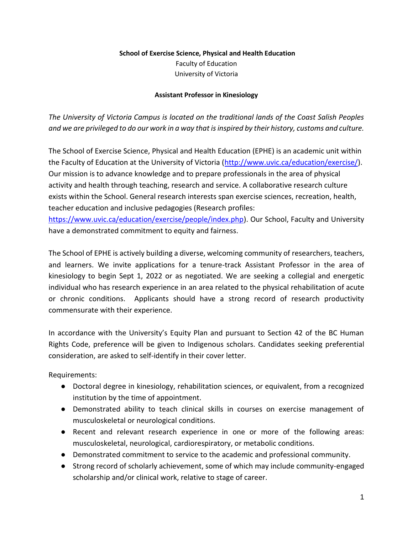## **School of Exercise Science, Physical and Health Education**

Faculty of Education University of Victoria

## **Assistant Professor in Kinesiology**

*The University of Victoria Campus is located on the traditional lands of the Coast Salish Peoples and we are privileged to do our work in a way that is inspired by their history, customs and culture.*

The School of Exercise Science, Physical and Health Education (EPHE) is an academic unit within the Faculty of Education at the University of Victoria [\(http://www.uvic.ca/education/exercise/\)](http://www.uvic.ca/education/exercise/). Our mission is to advance knowledge and to prepare professionals in the area of physical activity and health through teaching, research and service. A collaborative research culture exists within the School. General research interests span exercise sciences, recreation, health, teacher education and inclusive pedagogies (Research profiles:

[https://www.uvic.ca/education/exercise/people/index.php\)](https://www.uvic.ca/education/exercise/people/index.php). Our School, Faculty and University have a demonstrated commitment to equity and fairness.

The School of EPHE is actively building a diverse, welcoming community of researchers, teachers, and learners. We invite applications for a tenure-track Assistant Professor in the area of kinesiology to begin Sept 1, 2022 or as negotiated. We are seeking a collegial and energetic individual who has research experience in an area related to the physical rehabilitation of acute or chronic conditions. Applicants should have a strong record of research productivity commensurate with their experience.

In accordance with the University's Equity Plan and pursuant to Section 42 of the BC Human Rights Code, preference will be given to Indigenous scholars. Candidates seeking preferential consideration, are asked to self-identify in their cover letter.

Requirements:

- Doctoral degree in kinesiology, rehabilitation sciences, or equivalent, from a recognized institution by the time of appointment.
- Demonstrated ability to teach clinical skills in courses on exercise management of musculoskeletal or neurological conditions.
- Recent and relevant research experience in one or more of the following areas: musculoskeletal, neurological, cardiorespiratory, or metabolic conditions.
- Demonstrated commitment to service to the academic and professional community.
- Strong record of scholarly achievement, some of which may include community-engaged scholarship and/or clinical work, relative to stage of career.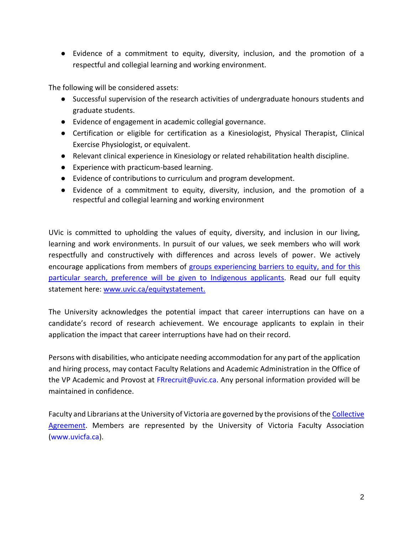● Evidence of a commitment to equity, diversity, inclusion, and the promotion of a respectful and collegial learning and working environment.

The following will be considered assets:

- Successful supervision of the research activities of undergraduate honours students and graduate students.
- Evidence of engagement in academic collegial governance.
- Certification or eligible for certification as a Kinesiologist, Physical Therapist, Clinical Exercise Physiologist, or equivalent.
- Relevant clinical experience in Kinesiology or related rehabilitation health discipline.
- Experience with practicum-based learning.
- Evidence of contributions to curriculum and program development.
- Evidence of a commitment to equity, diversity, inclusion, and the promotion of a respectful and collegial learning and working environment

UVic is committed to upholding the values of equity, diversity, and inclusion in our living, learning and work environments. In pursuit of our values, we seek members who will work respectfully and constructively with differences and across levels of power. We actively encourage applications from members of [groups experiencing barriers to equity,](https://www.uvic.ca/equity/employment-equity/statement/index.php#statement) and for this particular search, preference will be given to Indigenous applicants. Read our full equity statement here: [www.uvic.ca/equitystatement.](https://www.uvic.ca/equity/employment-equity/statement/index.php)

The University acknowledges the potential impact that career interruptions can have on a candidate's record of research achievement. We encourage applicants to explain in their application the impact that career interruptions have had on their record.

Persons with disabilities, who anticipate needing accommodation for any part of the application and hiring process, may contact Faculty Relations and Academic Administration in the Office of the VP Academic and Provost at FRrecruit@uvic.ca. Any personal information provided will be maintained in confidence.

Faculty and Librarians at the University of Victoria are governed by the provisions of th[e](https://www.uvic.ca/vpacademic/assets/docs/Collective%20Agreement.pdf) [Collective](https://www.uvic.ca/vpacademic/assets/docs/Collective%20Agreement.pdf)  [Agreement.](https://www.uvic.ca/vpacademic/assets/docs/Collective%20Agreement.pdf) Members are represented by the University of Victoria Faculty Association [\(www.uvicfa.ca\)](http://www.uvicfa.ca/).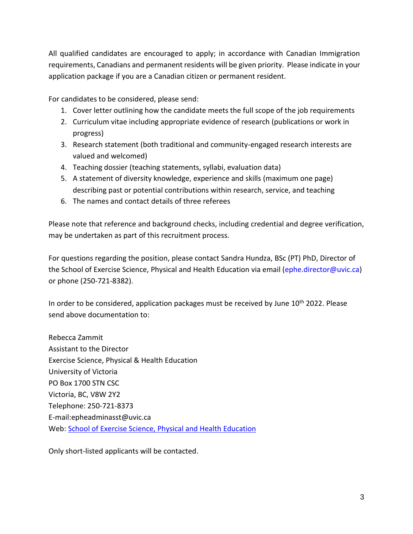All qualified candidates are encouraged to apply; in accordance with Canadian Immigration requirements, Canadians and permanent residents will be given priority. Please indicate in your application package if you are a Canadian citizen or permanent resident.

For candidates to be considered, please send:

- 1. Cover letter outlining how the candidate meets the full scope of the job requirements
- 2. Curriculum vitae including appropriate evidence of research (publications or work in progress)
- 3. Research statement (both traditional and community-engaged research interests are valued and welcomed)
- 4. Teaching dossier (teaching statements, syllabi, evaluation data)
- 5. A statement of diversity knowledge, experience and skills (maximum one page) describing past or potential contributions within research, service, and teaching
- 6. The names and contact details of three referees

Please note that reference and background checks, including credential and degree verification, may be undertaken as part of this recruitment process.

For questions regarding the position, please contact Sandra Hundza, BSc (PT) PhD, Director of the School of Exercise Science, Physical and Health Education via email (ephe.director@uvic.ca) or phone (250-721-8382).

In order to be considered, application packages must be received by June  $10<sup>th</sup>$  2022. Please send above documentation to:

Rebecca Zammit Assistant to the Director Exercise Science, Physical & Health Education University of Victoria PO Box 1700 STN CSC Victoria, BC, V8W 2Y2 Telephone: 250-721-8373 E-mail:epheadminasst@uvic.ca Web[:](http://http/www.uvic.ca/education/) [School of Exercise Science, Physical and Health Education](http://http/www.uvic.ca/education/)

Only short-listed applicants will be contacted.